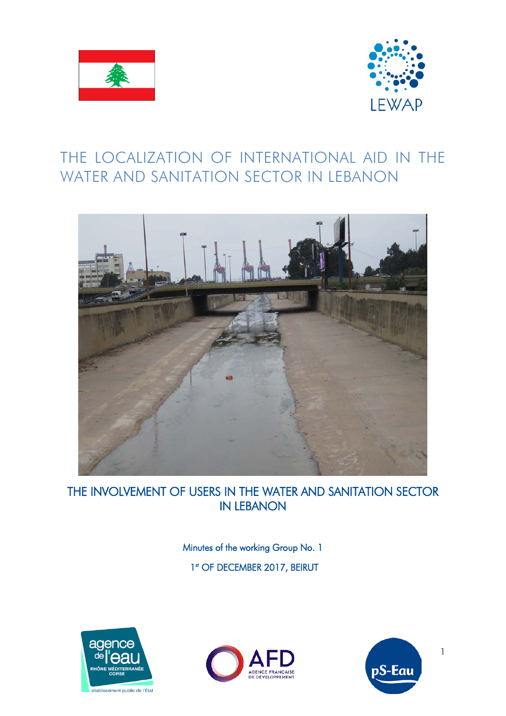



# THE LOCALIZATION OF INTERNATIONAL AID IN THE WATER AND SANITATION SECTOR IN LEBANON



THE INVOLVEMENT OF USERS IN THE WATER AND SANITATION SECTOR IN LEBANON

> Minutes of the working Group No. 1 1<sup>st</sup> OF DECEMBER 2017, BEIRUT







1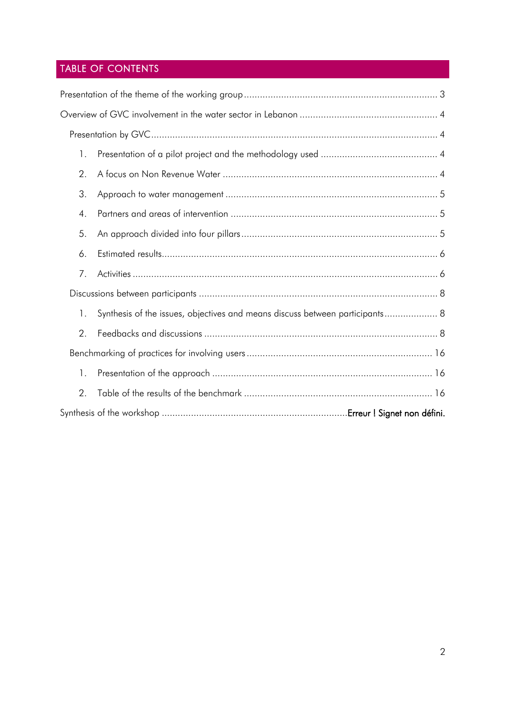# TABLE OF CONTENTS

| 1. |                                                                              |  |  |  |
|----|------------------------------------------------------------------------------|--|--|--|
| 2. |                                                                              |  |  |  |
| 3. |                                                                              |  |  |  |
| 4. |                                                                              |  |  |  |
| 5. |                                                                              |  |  |  |
| 6. |                                                                              |  |  |  |
| 7. |                                                                              |  |  |  |
|    |                                                                              |  |  |  |
| 1. | Synthesis of the issues, objectives and means discuss between participants 8 |  |  |  |
| 2. |                                                                              |  |  |  |
|    |                                                                              |  |  |  |
| 1. |                                                                              |  |  |  |
| 2. |                                                                              |  |  |  |
|    | Synthesis of the workshop ……………………………………………………………Erreur!Signet non défini.   |  |  |  |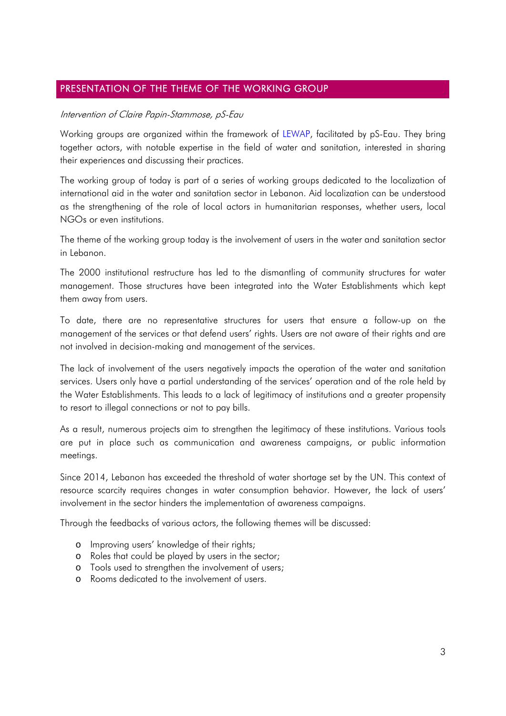## <span id="page-2-0"></span>PRESENTATION OF THE THEME OF THE WORKING GROUP

### Intervention of Claire Papin-Stammose, pS-Eau

Working groups are organized within the framework of LEWAP, facilitated by pS-Eau. They bring together actors, with notable expertise in the field of water and sanitation, interested in sharing their experiences and discussing their practices.

The working group of today is part of a series of working groups dedicated to the localization of international aid in the water and sanitation sector in Lebanon. Aid localization can be understood as the strengthening of the role of local actors in humanitarian responses, whether users, local NGOs or even institutions.

The theme of the working group today is the involvement of users in the water and sanitation sector in Lebanon.

The 2000 institutional restructure has led to the dismantling of community structures for water management. Those structures have been integrated into the Water Establishments which kept them away from users.

To date, there are no representative structures for users that ensure a follow-up on the management of the services or that defend users' rights. Users are not aware of their rights and are not involved in decision-making and management of the services.

The lack of involvement of the users negatively impacts the operation of the water and sanitation services. Users only have a partial understanding of the services' operation and of the role held by the Water Establishments. This leads to a lack of legitimacy of institutions and a greater propensity to resort to illegal connections or not to pay bills.

As a result, numerous projects aim to strengthen the legitimacy of these institutions. Various tools are put in place such as communication and awareness campaigns, or public information meetings.

Since 2014, Lebanon has exceeded the threshold of water shortage set by the UN. This context of resource scarcity requires changes in water consumption behavior. However, the lack of users' involvement in the sector hinders the implementation of awareness campaigns.

Through the feedbacks of various actors, the following themes will be discussed:

- o Improving users' knowledge of their rights;
- o Roles that could be played by users in the sector;
- o Tools used to strengthen the involvement of users;
- o Rooms dedicated to the involvement of users.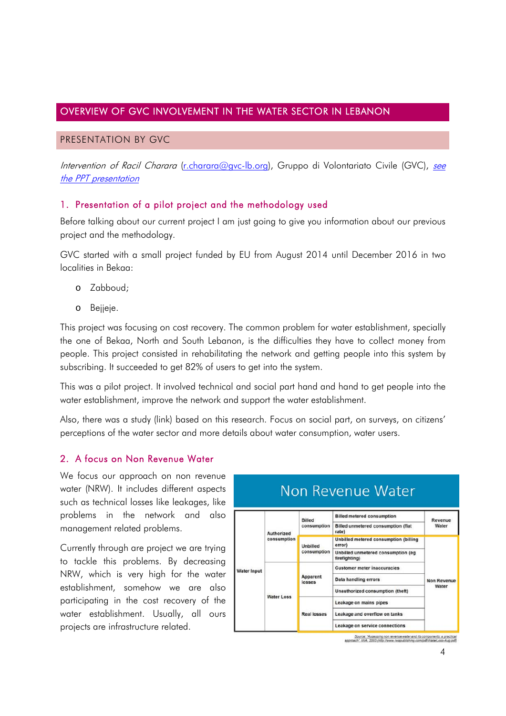## <span id="page-3-0"></span>OVERVIEW OF GVC INVOLVEMENT IN THE WATER SECTOR IN LEBANON

### <span id="page-3-1"></span>PRESENTATION BY GVC

Intervention of Racil Charara [\(r.charara@gvc-lb.org\)](mailto:r.charara@gvc-lb.org), Gruppo di Volontariato Civile (GVC), see the PPT presentation

## <span id="page-3-2"></span>1. Presentation of a pilot project and the methodology used

Before talking about our current project I am just going to give you information about our previous project and the methodology.

GVC started with a small project funded by EU from August 2014 until December 2016 in two localities in Bekaa:

- o Zabboud;
- o Bejjeje.

This project was focusing on cost recovery. The common problem for water establishment, specially the one of Bekaa, North and South Lebanon, is the difficulties they have to collect money from people. This project consisted in rehabilitating the network and getting people into this system by subscribing. It succeeded to get 82% of users to get into the system.

This was a pilot project. It involved technical and social part hand and hand to get people into the water establishment, improve the network and support the water establishment.

Also, there was a study (link) based on this research. Focus on social part, on surveys, on citizens' perceptions of the water sector and more details about water consumption, water users.

## <span id="page-3-3"></span>2. A focus on Non Revenue Water

We focus our approach on non revenue water (NRW). It includes different aspects such as technical losses like leakages, like problems in the network and also management related problems.

Currently through are project we are trying to tackle this problems. By decreasing NRW, which is very high for the water establishment, somehow we are also participating in the cost recovery of the water establishment. Usually, all ours projects are infrastructure related.



# Non Revenue Water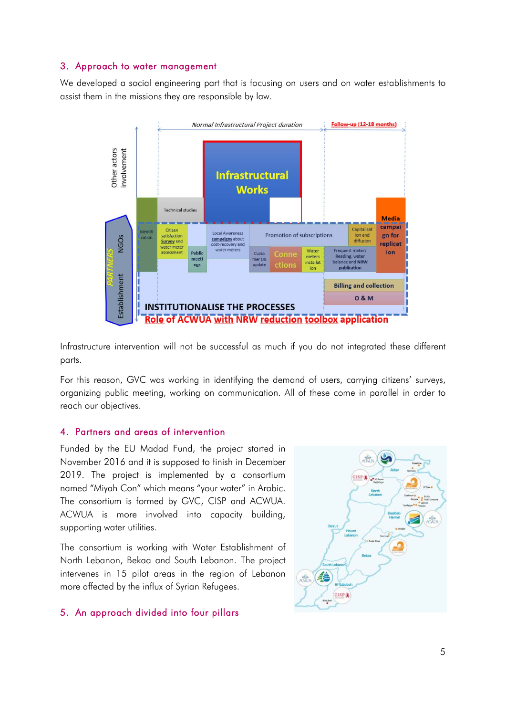## <span id="page-4-0"></span>3. Approach to water management

We developed a social engineering part that is focusing on users and on water establishments to assist them in the missions they are responsible by law.



Infrastructure intervention will not be successful as much if you do not integrated these different parts.

For this reason, GVC was working in identifying the demand of users, carrying citizens' surveys, organizing public meeting, working on communication. All of these come in parallel in order to reach our objectives.

#### <span id="page-4-1"></span>4. Partners and areas of intervention

Funded by the EU Madad Fund, the project started in November 2016 and it is supposed to finish in December 2019. The project is implemented by a consortium named "Miyah Con" which means "your water" in Arabic. The consortium is formed by GVC, CISP and ACWUA. ACWUA is more involved into capacity building, supporting water utilities.

The consortium is working with Water Establishment of North Lebanon, Bekaa and South Lebanon. The project intervenes in 15 pilot areas in the region of Lebanon more affected by the influx of Syrian Refugees.

## <span id="page-4-2"></span>5. An approach divided into four pillars

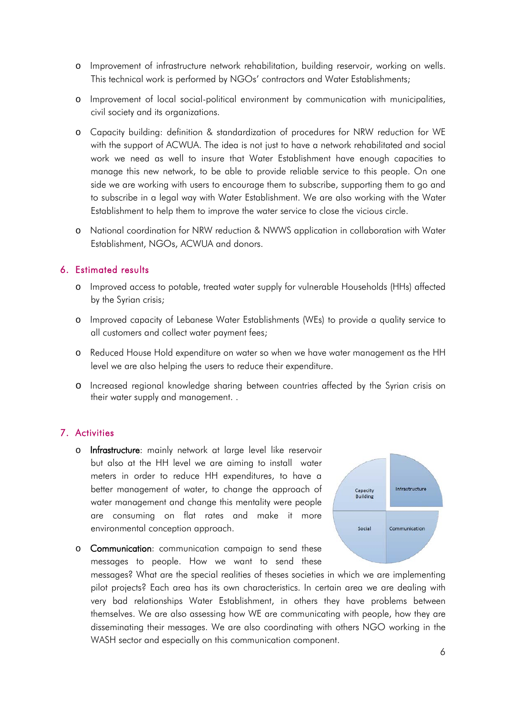- o Improvement of infrastructure network rehabilitation, building reservoir, working on wells. This technical work is performed by NGOs' contractors and Water Establishments;
- o Improvement of local social-political environment by communication with municipalities, civil society and its organizations.
- o Capacity building: definition & standardization of procedures for NRW reduction for WE with the support of ACWUA. The idea is not just to have a network rehabilitated and social work we need as well to insure that Water Establishment have enough capacities to manage this new network, to be able to provide reliable service to this people. On one side we are working with users to encourage them to subscribe, supporting them to go and to subscribe in a legal way with Water Establishment. We are also working with the Water Establishment to help them to improve the water service to close the vicious circle.
- o National coordination for NRW reduction & NWWS application in collaboration with Water Establishment, NGOs, ACWUA and donors.

## <span id="page-5-0"></span>6. Estimated results

- o Improved access to potable, treated water supply for vulnerable Households (HHs) affected by the Syrian crisis;
- o Improved capacity of Lebanese Water Establishments (WEs) to provide a quality service to all customers and collect water payment fees;
- o Reduced House Hold expenditure on water so when we have water management as the HH level we are also helping the users to reduce their expenditure.
- o Increased regional knowledge sharing between countries affected by the Syrian crisis on their water supply and management. .

## <span id="page-5-1"></span>7. Activities

o Infrastructure: mainly network at large level like reservoir but also at the HH level we are aiming to install water meters in order to reduce HH expenditures, to have a better management of water, to change the approach of water management and change this mentality were people are consuming on flat rates and make it more environmental conception approach.



o Communication: communication campaign to send these messages to people. How we want to send these

messages? What are the special realities of theses societies in which we are implementing pilot projects? Each area has its own characteristics. In certain area we are dealing with very bad relationships Water Establishment, in others they have problems between themselves. We are also assessing how WE are communicating with people, how they are disseminating their messages. We are also coordinating with others NGO working in the WASH sector and especially on this communication component.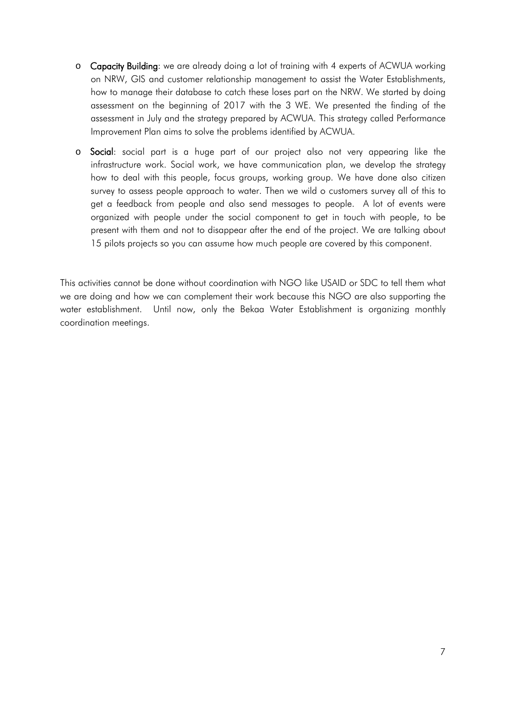- o Capacity Building: we are already doing a lot of training with 4 experts of ACWUA working on NRW, GIS and customer relationship management to assist the Water Establishments, how to manage their database to catch these loses part on the NRW. We started by doing assessment on the beginning of 2017 with the 3 WE. We presented the finding of the assessment in July and the strategy prepared by ACWUA. This strategy called Performance Improvement Plan aims to solve the problems identified by ACWUA.
- o Social: social part is a huge part of our project also not very appearing like the infrastructure work. Social work, we have communication plan, we develop the strategy how to deal with this people, focus groups, working group. We have done also citizen survey to assess people approach to water. Then we wild o customers survey all of this to get a feedback from people and also send messages to people. A lot of events were organized with people under the social component to get in touch with people, to be present with them and not to disappear after the end of the project. We are talking about 15 pilots projects so you can assume how much people are covered by this component.

This activities cannot be done without coordination with NGO like USAID or SDC to tell them what we are doing and how we can complement their work because this NGO are also supporting the water establishment. Until now, only the Bekaa Water Establishment is organizing monthly coordination meetings.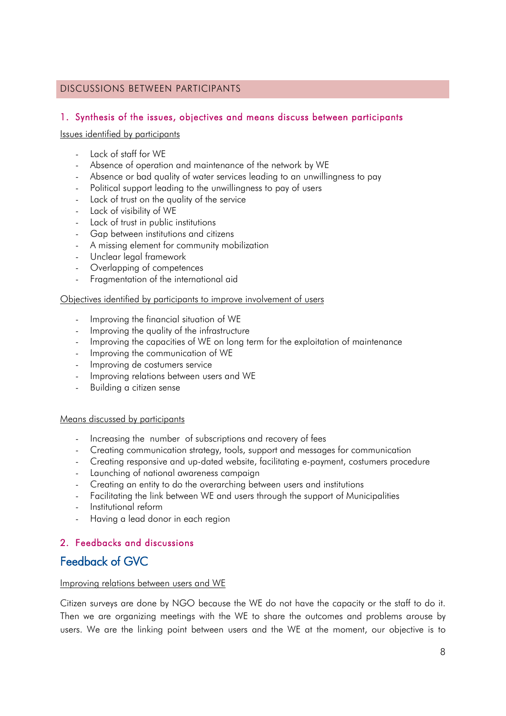## <span id="page-7-0"></span>DISCUSSIONS BETWEEN PARTICIPANTS

## <span id="page-7-1"></span>1. Synthesis of the issues, objectives and means discuss between participants

#### Issues identified by participants

- Lack of staff for WE
- Absence of operation and maintenance of the network by WE
- Absence or bad quality of water services leading to an unwillingness to pay
- Political support leading to the unwillingness to pay of users
- Lack of trust on the quality of the service
- Lack of visibility of WE
- Lack of trust in public institutions
- Gap between institutions and citizens
- A missing element for community mobilization
- Unclear legal framework
- Overlapping of competences
- Fragmentation of the international aid

#### Objectives identified by participants to improve involvement of users

- Improving the financial situation of WE
- Improving the quality of the infrastructure
- Improving the capacities of WE on long term for the exploitation of maintenance
- Improving the communication of WE
- Improving de costumers service
- Improving relations between users and WE
- Building a citizen sense

#### Means discussed by participants

- Increasing the number of subscriptions and recovery of fees
- Creating communication strategy, tools, support and messages for communication
- Creating responsive and up-dated website, facilitating e-payment, costumers procedure
- Launching of national awareness campaign
- Creating an entity to do the overarching between users and institutions
- Facilitating the link between WE and users through the support of Municipalities
- Institutional reform
- Having a lead donor in each region

## <span id="page-7-2"></span>2. Feedbacks and discussions

## Feedback of GVC

#### Improving relations between users and WE

Citizen surveys are done by NGO because the WE do not have the capacity or the staff to do it. Then we are organizing meetings with the WE to share the outcomes and problems arouse by users. We are the linking point between users and the WE at the moment, our objective is to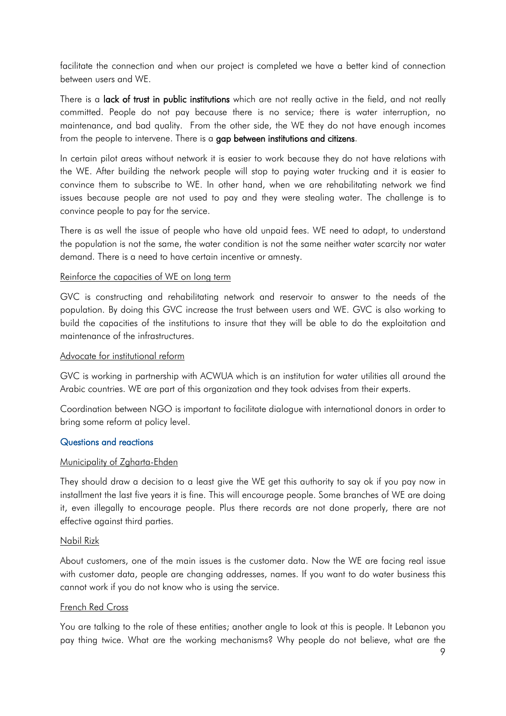facilitate the connection and when our project is completed we have a better kind of connection between users and WE.

There is a lack of trust in public institutions which are not really active in the field, and not really committed. People do not pay because there is no service; there is water interruption, no maintenance, and bad quality. From the other side, the WE they do not have enough incomes from the people to intervene. There is a gap between institutions and citizens.

In certain pilot areas without network it is easier to work because they do not have relations with the WE. After building the network people will stop to paying water trucking and it is easier to convince them to subscribe to WE. In other hand, when we are rehabilitating network we find issues because people are not used to pay and they were stealing water. The challenge is to convince people to pay for the service.

There is as well the issue of people who have old unpaid fees. WE need to adapt, to understand the population is not the same, the water condition is not the same neither water scarcity nor water demand. There is a need to have certain incentive or amnesty.

#### Reinforce the capacities of WE on long term

GVC is constructing and rehabilitating network and reservoir to answer to the needs of the population. By doing this GVC increase the trust between users and WE. GVC is also working to build the capacities of the institutions to insure that they will be able to do the exploitation and maintenance of the infrastructures.

#### Advocate for institutional reform

GVC is working in partnership with ACWUA which is an institution for water utilities all around the Arabic countries. WE are part of this organization and they took advises from their experts.

Coordination between NGO is important to facilitate dialogue with international donors in order to bring some reform at policy level.

#### Questions and reactions

#### Municipality of Zgharta-Ehden

They should draw a decision to a least give the WE get this authority to say ok if you pay now in installment the last five years it is fine. This will encourage people. Some branches of WE are doing it, even illegally to encourage people. Plus there records are not done properly, there are not effective against third parties.

#### Nabil Rizk

About customers, one of the main issues is the customer data. Now the WE are facing real issue with customer data, people are changing addresses, names. If you want to do water business this cannot work if you do not know who is using the service.

#### French Red Cross

You are talking to the role of these entities; another angle to look at this is people. It Lebanon you pay thing twice. What are the working mechanisms? Why people do not believe, what are the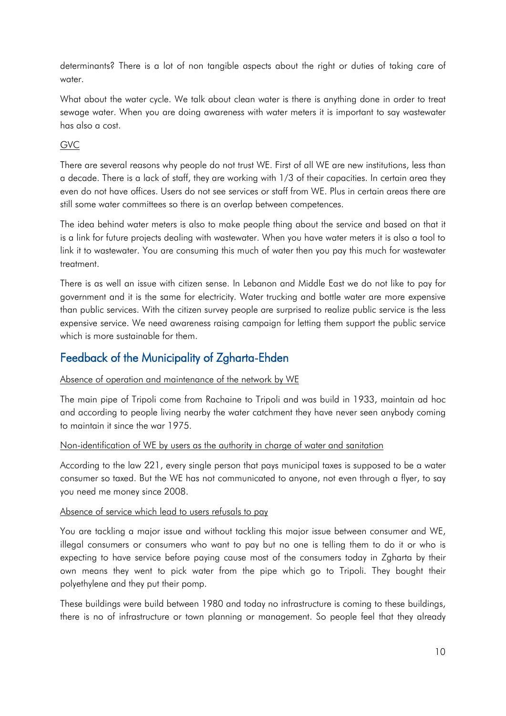determinants? There is a lot of non tangible aspects about the right or duties of taking care of water.

What about the water cycle. We talk about clean water is there is anything done in order to treat sewage water. When you are doing awareness with water meters it is important to say wastewater has also a cost.

## GVC

There are several reasons why people do not trust WE. First of all WE are new institutions, less than a decade. There is a lack of staff, they are working with 1/3 of their capacities. In certain area they even do not have offices. Users do not see services or staff from WE. Plus in certain areas there are still some water committees so there is an overlap between competences.

The idea behind water meters is also to make people thing about the service and based on that it is a link for future projects dealing with wastewater. When you have water meters it is also a tool to link it to wastewater. You are consuming this much of water then you pay this much for wastewater treatment.

There is as well an issue with citizen sense. In Lebanon and Middle East we do not like to pay for government and it is the same for electricity. Water trucking and bottle water are more expensive than public services. With the citizen survey people are surprised to realize public service is the less expensive service. We need awareness raising campaign for letting them support the public service which is more sustainable for them.

# Feedback of the Municipality of Zgharta-Ehden

## Absence of operation and maintenance of the network by WE

The main pipe of Tripoli come from Rachaine to Tripoli and was build in 1933, maintain ad hoc and according to people living nearby the water catchment they have never seen anybody coming to maintain it since the war 1975.

## Non-identification of WE by users as the authority in charge of water and sanitation

According to the law 221, every single person that pays municipal taxes is supposed to be a water consumer so taxed. But the WE has not communicated to anyone, not even through a flyer, to say you need me money since 2008.

#### Absence of service which lead to users refusals to pay

You are tackling a major issue and without tackling this major issue between consumer and WE, illegal consumers or consumers who want to pay but no one is telling them to do it or who is expecting to have service before paying cause most of the consumers today in Zgharta by their own means they went to pick water from the pipe which go to Tripoli. They bought their polyethylene and they put their pomp.

These buildings were build between 1980 and today no infrastructure is coming to these buildings, there is no of infrastructure or town planning or management. So people feel that they already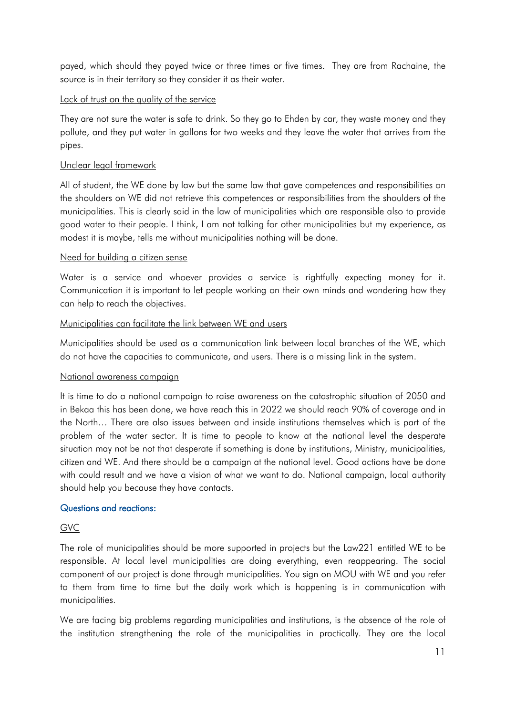payed, which should they payed twice or three times or five times. They are from Rachaine, the source is in their territory so they consider it as their water.

### Lack of trust on the quality of the service

They are not sure the water is safe to drink. So they go to Ehden by car, they waste money and they pollute, and they put water in gallons for two weeks and they leave the water that arrives from the pipes.

## Unclear legal framework

All of student, the WE done by law but the same law that gave competences and responsibilities on the shoulders on WE did not retrieve this competences or responsibilities from the shoulders of the municipalities. This is clearly said in the law of municipalities which are responsible also to provide good water to their people. I think, I am not talking for other municipalities but my experience, as modest it is maybe, tells me without municipalities nothing will be done.

#### Need for building a citizen sense

Water is a service and whoever provides a service is rightfully expecting money for it. Communication it is important to let people working on their own minds and wondering how they can help to reach the objectives.

#### Municipalities can facilitate the link between WE and users

Municipalities should be used as a communication link between local branches of the WE, which do not have the capacities to communicate, and users. There is a missing link in the system.

### National awareness campaign

It is time to do a national campaign to raise awareness on the catastrophic situation of 2050 and in Bekaa this has been done, we have reach this in 2022 we should reach 90% of coverage and in the North… There are also issues between and inside institutions themselves which is part of the problem of the water sector. It is time to people to know at the national level the desperate situation may not be not that desperate if something is done by institutions, Ministry, municipalities, citizen and WE. And there should be a campaign at the national level. Good actions have be done with could result and we have a vision of what we want to do. National campaign, local authority should help you because they have contacts.

## Questions and reactions:

## GVC

The role of municipalities should be more supported in projects but the Law221 entitled WE to be responsible. At local level municipalities are doing everything, even reappearing. The social component of our project is done through municipalities. You sign on MOU with WE and you refer to them from time to time but the daily work which is happening is in communication with municipalities.

We are facing big problems regarding municipalities and institutions, is the absence of the role of the institution strengthening the role of the municipalities in practically. They are the local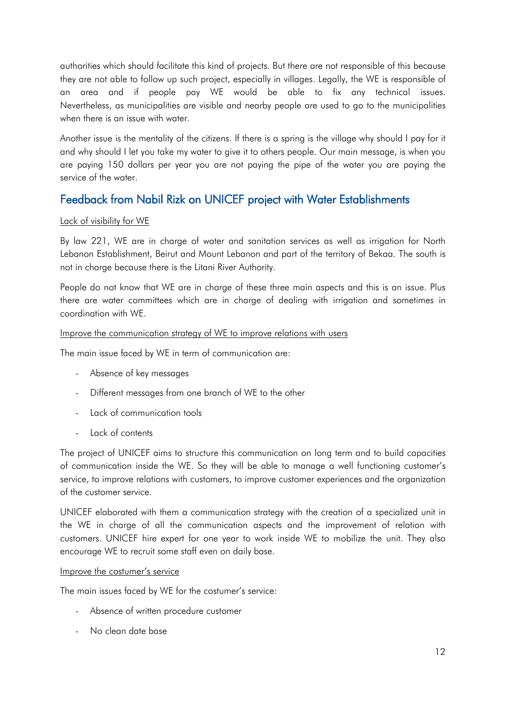authorities which should facilitate this kind of projects. But there are not responsible of this because they are not able to follow up such project, especially in villages. Legally, the WE is responsible of an area and if people pay WE would be able to fix any technical issues. Nevertheless, as municipalities are visible and nearby people are used to go to the municipalities when there is an issue with water.

Another issue is the mentality of the citizens. If there is a spring is the village why should I pay for it and why should I let you take my water to give it to others people. Our main message, is when you are paying 150 dollars per year you are not paying the pipe of the water you are paying the service of the water.

# Feedback from Nabil Rizk on UNICEF project with Water Establishments

## Lack of visibility for WE

By law 221, WE are in charge of water and sanitation services as well as irrigation for North Lebanon Establishment, Beirut and Mount Lebanon and part of the territory of Bekaa. The south is not in charge because there is the Litani River Authority.

People do not know that WE are in charge of these three main aspects and this is an issue. Plus there are water committees which are in charge of dealing with irrigation and sometimes in coordination with WE.

#### Improve the communication strategy of WE to improve relations with users

The main issue faced by WE in term of communication are:

- Absence of key messages
- Different messages from one branch of WE to the other
- Lack of communication tools
- Lack of contents

The project of UNICEF aims to structure this communication on long term and to build capacities of communication inside the WE. So they will be able to manage a well functioning customer's service, to improve relations with customers, to improve customer experiences and the organization of the customer service.

UNICEF elaborated with them a communication strategy with the creation of a specialized unit in the WE in charge of all the communication aspects and the improvement of relation with customers. UNICEF hire expert for one year to work inside WE to mobilize the unit. They also encourage WE to recruit some staff even on daily base.

#### Improve the costumer's service

The main issues faced by WE for the costumer's service:

- Absence of written procedure customer
- No clean date base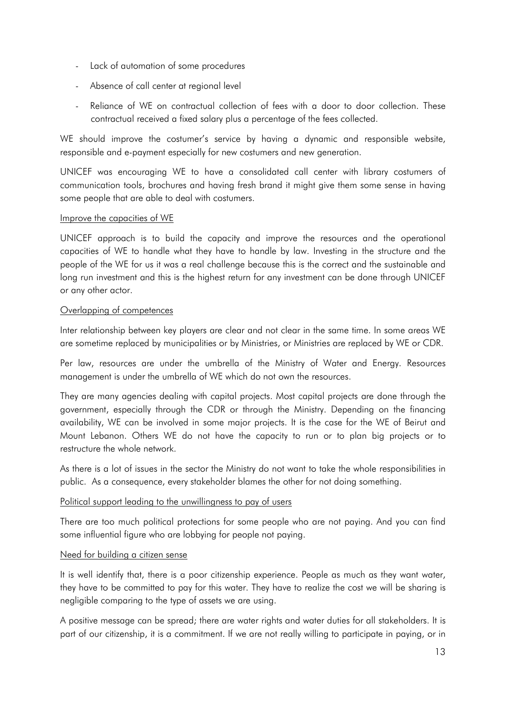- Lack of automation of some procedures
- Absence of call center at regional level
- Reliance of WE on contractual collection of fees with a door to door collection. These contractual received a fixed salary plus a percentage of the fees collected.

WE should improve the costumer's service by having a dynamic and responsible website, responsible and e-payment especially for new costumers and new generation.

UNICEF was encouraging WE to have a consolidated call center with library costumers of communication tools, brochures and having fresh brand it might give them some sense in having some people that are able to deal with costumers.

#### Improve the capacities of WE

UNICEF approach is to build the capacity and improve the resources and the operational capacities of WE to handle what they have to handle by law. Investing in the structure and the people of the WE for us it was a real challenge because this is the correct and the sustainable and long run investment and this is the highest return for any investment can be done through UNICEF or any other actor.

#### Overlapping of competences

Inter relationship between key players are clear and not clear in the same time. In some areas WE are sometime replaced by municipalities or by Ministries, or Ministries are replaced by WE or CDR.

Per law, resources are under the umbrella of the Ministry of Water and Energy. Resources management is under the umbrella of WE which do not own the resources.

They are many agencies dealing with capital projects. Most capital projects are done through the government, especially through the CDR or through the Ministry. Depending on the financing availability, WE can be involved in some major projects. It is the case for the WE of Beirut and Mount Lebanon. Others WE do not have the capacity to run or to plan big projects or to restructure the whole network.

As there is a lot of issues in the sector the Ministry do not want to take the whole responsibilities in public. As a consequence, every stakeholder blames the other for not doing something.

#### Political support leading to the unwillingness to pay of users

There are too much political protections for some people who are not paying. And you can find some influential figure who are lobbying for people not paying.

#### Need for building a citizen sense

It is well identify that, there is a poor citizenship experience. People as much as they want water, they have to be committed to pay for this water. They have to realize the cost we will be sharing is negligible comparing to the type of assets we are using.

A positive message can be spread; there are water rights and water duties for all stakeholders. It is part of our citizenship, it is a commitment. If we are not really willing to participate in paying, or in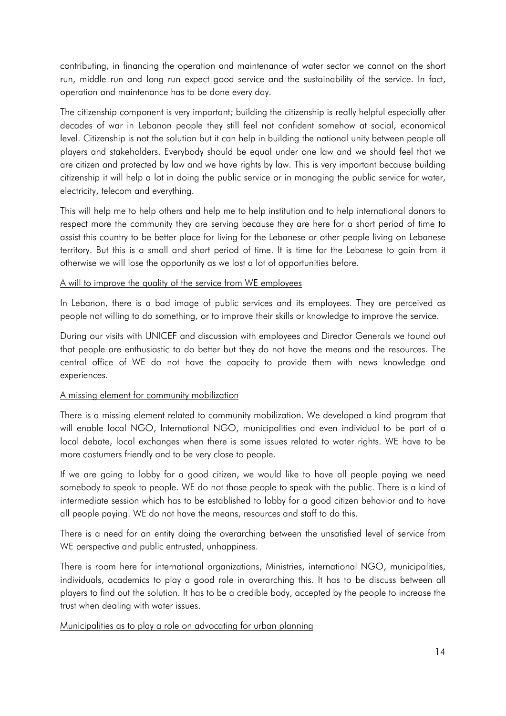contributing, in financing the operation and maintenance of water sector we cannot on the short run, middle run and long run expect good service and the sustainability of the service. In fact, operation and maintenance has to be done every day.

The citizenship component is very important; building the citizenship is really helpful especially after decades of war in Lebanon people they still feel not confident somehow at social, economical level. Citizenship is not the solution but it can help in building the national unity between people all players and stakeholders. Everybody should be equal under one law and we should feel that we are citizen and protected by law and we have rights by law. This is very important because building citizenship it will help a lot in doing the public service or in managing the public service for water, electricity, telecom and everything.

This will help me to help others and help me to help institution and to help international donors to respect more the community they are serving because they are here for a short period of time to assist this country to be better place for living for the Lebanese or other people living on Lebanese territory. But this is a small and short period of time. It is time for the Lebanese to gain from it otherwise we will lose the opportunity as we lost a lot of opportunities before.

#### A will to improve the quality of the service from WE employees

In Lebanon, there is a bad image of public services and its employees. They are perceived as people not willing to do something, or to improve their skills or knowledge to improve the service.

During our visits with UNICEF and discussion with employees and Director Generals we found out that people are enthusiastic to do better but they do not have the means and the resources. The central office of WE do not have the capacity to provide them with news knowledge and experiences.

#### A missing element for community mobilization

There is a missing element related to community mobilization. We developed a kind program that will enable local NGO, International NGO, municipalities and even individual to be part of a local debate, local exchanges when there is some issues related to water rights. WE have to be more costumers friendly and to be very close to people.

If we are going to lobby for a good citizen, we would like to have all people paying we need somebody to speak to people. WE do not those people to speak with the public. There is a kind of intermediate session which has to be established to lobby for a good citizen behavior and to have all people paying. WE do not have the means, resources and staff to do this.

There is a need for an entity doing the overarching between the unsatisfied level of service from WE perspective and public entrusted, unhappiness.

There is room here for international organizations, Ministries, international NGO, municipalities, individuals, academics to play a good role in overarching this. It has to be discuss between all players to find out the solution. It has to be a credible body, accepted by the people to increase the trust when dealing with water issues.

#### Municipalities as to play a role on advocating for urban planning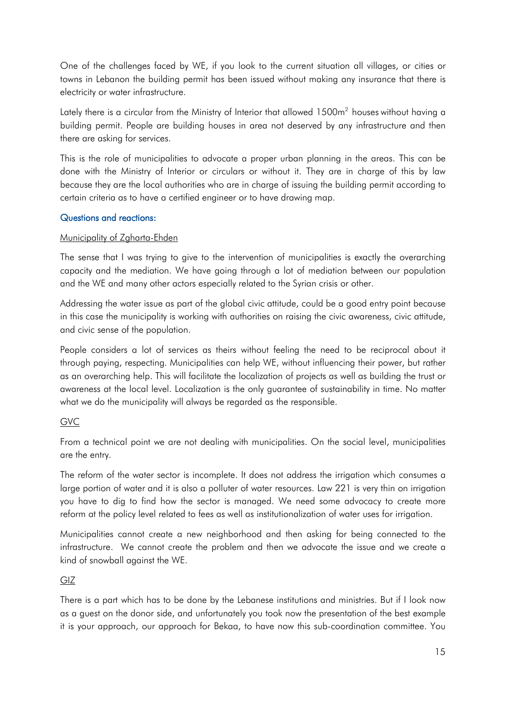One of the challenges faced by WE, if you look to the current situation all villages, or cities or towns in Lebanon the building permit has been issued without making any insurance that there is electricity or water infrastructure.

Lately there is a circular from the Ministry of Interior that allowed 1500m<sup>2</sup> houses without having a building permit. People are building houses in area not deserved by any infrastructure and then there are asking for services.

This is the role of municipalities to advocate a proper urban planning in the areas. This can be done with the Ministry of Interior or circulars or without it. They are in charge of this by law because they are the local authorities who are in charge of issuing the building permit according to certain criteria as to have a certified engineer or to have drawing map.

## Questions and reactions:

## Municipality of Zgharta-Ehden

The sense that I was trying to give to the intervention of municipalities is exactly the overarching capacity and the mediation. We have going through a lot of mediation between our population and the WE and many other actors especially related to the Syrian crisis or other.

Addressing the water issue as part of the global civic attitude, could be a good entry point because in this case the municipality is working with authorities on raising the civic awareness, civic attitude, and civic sense of the population.

People considers a lot of services as theirs without feeling the need to be reciprocal about it through paying, respecting. Municipalities can help WE, without influencing their power, but rather as an overarching help. This will facilitate the localization of projects as well as building the trust or awareness at the local level. Localization is the only guarantee of sustainability in time. No matter what we do the municipality will always be regarded as the responsible.

## GVC

From a technical point we are not dealing with municipalities. On the social level, municipalities are the entry.

The reform of the water sector is incomplete. It does not address the irrigation which consumes a large portion of water and it is also a polluter of water resources. Law 221 is very thin on irrigation you have to dig to find how the sector is managed. We need some advocacy to create more reform at the policy level related to fees as well as institutionalization of water uses for irrigation.

Municipalities cannot create a new neighborhood and then asking for being connected to the infrastructure. We cannot create the problem and then we advocate the issue and we create a kind of snowball against the WE.

## GIZ

There is a part which has to be done by the Lebanese institutions and ministries. But if I look now as a guest on the donor side, and unfortunately you took now the presentation of the best example it is your approach, our approach for Bekaa, to have now this sub-coordination committee. You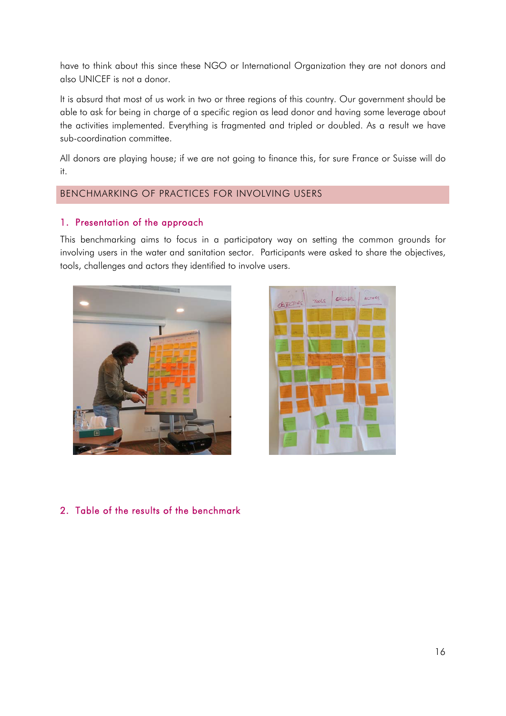have to think about this since these NGO or International Organization they are not donors and also UNICEF is not a donor.

It is absurd that most of us work in two or three regions of this country. Our government should be able to ask for being in charge of a specific region as lead donor and having some leverage about the activities implemented. Everything is fragmented and tripled or doubled. As a result we have sub-coordination committee.

All donors are playing house; if we are not going to finance this, for sure France or Suisse will do it.

## <span id="page-15-0"></span>BENCHMARKING OF PRACTICES FOR INVOLVING USERS

## <span id="page-15-1"></span>1. Presentation of the approach

This benchmarking aims to focus in a participatory way on setting the common grounds for involving users in the water and sanitation sector. Participants were asked to share the objectives, tools, challenges and actors they identified to involve users.





<span id="page-15-2"></span>2. Table of the results of the benchmark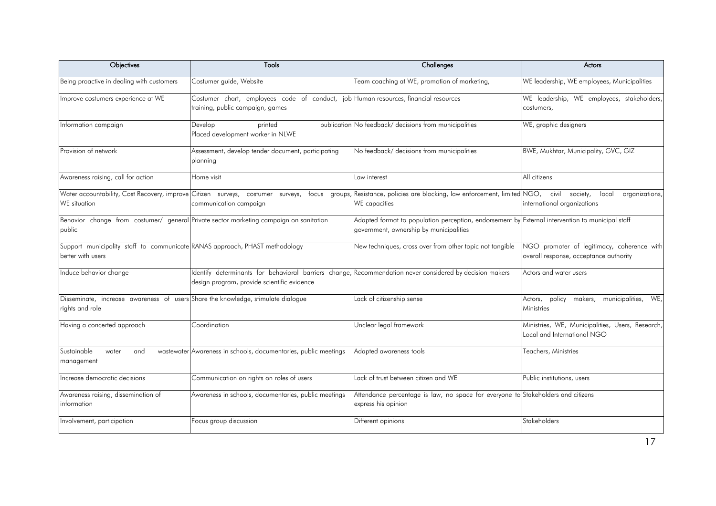| Objectives                                                                                             | Tools                                                                                                                                                   | Challenges                                                                                                                                  | Actors                                                                               |
|--------------------------------------------------------------------------------------------------------|---------------------------------------------------------------------------------------------------------------------------------------------------------|---------------------------------------------------------------------------------------------------------------------------------------------|--------------------------------------------------------------------------------------|
| Being proactive in dealing with customers                                                              | Costumer guide, Website                                                                                                                                 | Team coaching at WE, promotion of marketing,                                                                                                | WE leadership, WE employees, Municipalities                                          |
| Improve costumers experience at WE                                                                     | Costumer chart, employees code of conduct, job Human resources, financial resources<br>training, public campaign, games                                 |                                                                                                                                             | WE leadership, WE employees, stakeholders,<br>costumers,                             |
| Information campaign                                                                                   | Develop<br>printed<br>Placed development worker in NLWE                                                                                                 | publication No feedback/ decisions from municipalities                                                                                      | WE, graphic designers                                                                |
| Provision of network                                                                                   | Assessment, develop tender document, participating<br>planning                                                                                          | No feedback/ decisions from municipalities                                                                                                  | BWE, Mukhtar, Municipality, GVC, GIZ                                                 |
| Awareness raising, call for action                                                                     | Home visit                                                                                                                                              | Law interest                                                                                                                                | All citizens                                                                         |
| Water accountability, Cost Recovery, improve Citizen surveys, costumer surveys,<br><b>WE</b> situation | focus groups,<br>communication campaign                                                                                                                 | Resistance, policies are blocking, law enforcement, limited NGO,<br>WE capacities                                                           | civil<br>society,<br>local<br>organizations,<br>international organizations          |
| public                                                                                                 | Behavior change from costumer/ general Private sector marketing campaign on sanitation                                                                  | Adapted format to population perception, endorsement by External intervention to municipal staff<br>government, ownership by municipalities |                                                                                      |
| Support municipality staff to communicate RANAS approach, PHAST methodology<br>better with users       |                                                                                                                                                         | New techniques, cross over from other topic not tangible                                                                                    | NGO promoter of legitimacy, coherence with<br>overall response, acceptance authority |
| Induce behavior change                                                                                 | Identify determinants for behavioral barriers change, Recommendation never considered by decision makers<br>design program, provide scientific evidence |                                                                                                                                             | Actors and water users                                                               |
| Disseminate, increase awareness of users Share the knowledge, stimulate dialogue<br>rights and role    |                                                                                                                                                         | Lack of citizenship sense                                                                                                                   | Actors, policy<br>makers, municipalities,<br>WE,<br>Ministries                       |
| Having a concerted approach                                                                            | Coordination                                                                                                                                            | Unclear legal framework                                                                                                                     | Ministries, WE, Municipalities, Users, Research,<br>Local and International NGO      |
| Sustainable<br>and<br>water<br>management                                                              | wastewater Awareness in schools, documentaries, public meetings                                                                                         | Adapted awareness tools                                                                                                                     | Teachers, Ministries                                                                 |
| Increase democratic decisions                                                                          | Communication on rights on roles of users                                                                                                               | Lack of trust between citizen and WE                                                                                                        | Public institutions, users                                                           |
| Awareness raising, dissemination of<br>information                                                     | Awareness in schools, documentaries, public meetings                                                                                                    | Attendance percentage is law, no space for everyone to Stakeholders and citizens<br>express his opinion                                     |                                                                                      |
| Involvement, participation                                                                             | Focus group discussion                                                                                                                                  | Different opinions                                                                                                                          | Stakeholders                                                                         |